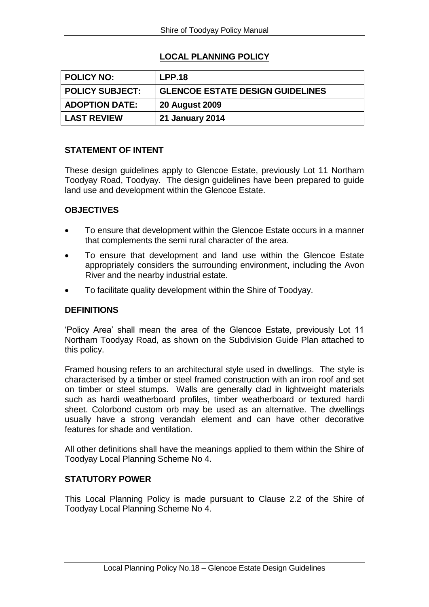# **LOCAL PLANNING POLICY**

| POLICY NO:             | <b>LPP.18</b>                           |
|------------------------|-----------------------------------------|
| <b>POLICY SUBJECT:</b> | <b>GLENCOE ESTATE DESIGN GUIDELINES</b> |
| <b>ADOPTION DATE:</b>  | <b>20 August 2009</b>                   |
| <b>LAST REVIEW</b>     | <b>21 January 2014</b>                  |

#### **STATEMENT OF INTENT**

These design guidelines apply to Glencoe Estate, previously Lot 11 Northam Toodyay Road, Toodyay. The design guidelines have been prepared to guide land use and development within the Glencoe Estate.

## **OBJECTIVES**

- To ensure that development within the Glencoe Estate occurs in a manner that complements the semi rural character of the area.
- To ensure that development and land use within the Glencoe Estate appropriately considers the surrounding environment, including the Avon River and the nearby industrial estate.
- To facilitate quality development within the Shire of Toodyay.

#### **DEFINITIONS**

'Policy Area' shall mean the area of the Glencoe Estate, previously Lot 11 Northam Toodyay Road, as shown on the Subdivision Guide Plan attached to this policy.

Framed housing refers to an architectural style used in dwellings. The style is characterised by a timber or steel framed construction with an iron roof and set on timber or steel stumps. Walls are generally clad in lightweight materials such as hardi weatherboard profiles, timber weatherboard or textured hardi sheet. Colorbond custom orb may be used as an alternative. The dwellings usually have a strong verandah element and can have other decorative features for shade and ventilation.

All other definitions shall have the meanings applied to them within the Shire of Toodyay Local Planning Scheme No 4.

### **STATUTORY POWER**

This Local Planning Policy is made pursuant to Clause 2.2 of the Shire of Toodyay Local Planning Scheme No 4.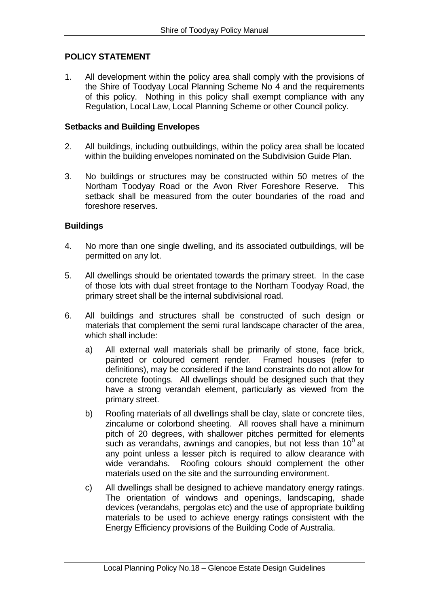## **POLICY STATEMENT**

1. All development within the policy area shall comply with the provisions of the Shire of Toodyay Local Planning Scheme No 4 and the requirements of this policy. Nothing in this policy shall exempt compliance with any Regulation, Local Law, Local Planning Scheme or other Council policy.

#### **Setbacks and Building Envelopes**

- 2. All buildings, including outbuildings, within the policy area shall be located within the building envelopes nominated on the Subdivision Guide Plan.
- 3. No buildings or structures may be constructed within 50 metres of the Northam Toodyay Road or the Avon River Foreshore Reserve. This setback shall be measured from the outer boundaries of the road and foreshore reserves.

#### **Buildings**

- 4. No more than one single dwelling, and its associated outbuildings, will be permitted on any lot.
- 5. All dwellings should be orientated towards the primary street. In the case of those lots with dual street frontage to the Northam Toodyay Road, the primary street shall be the internal subdivisional road.
- 6. All buildings and structures shall be constructed of such design or materials that complement the semi rural landscape character of the area, which shall include:
	- a) All external wall materials shall be primarily of stone, face brick,<br>painted or coloured cement render. Framed houses (refer to painted or coloured cement render. definitions), may be considered if the land constraints do not allow for concrete footings. All dwellings should be designed such that they have a strong verandah element, particularly as viewed from the primary street.
	- b) Roofing materials of all dwellings shall be clay, slate or concrete tiles, zincalume or colorbond sheeting. All rooves shall have a minimum pitch of 20 degrees, with shallower pitches permitted for elements such as verandahs, awnings and canopies, but not less than  $10^0$  at any point unless a lesser pitch is required to allow clearance with wide verandahs. Roofing colours should complement the other materials used on the site and the surrounding environment.
	- c) All dwellings shall be designed to achieve mandatory energy ratings. The orientation of windows and openings, landscaping, shade devices (verandahs, pergolas etc) and the use of appropriate building materials to be used to achieve energy ratings consistent with the Energy Efficiency provisions of the Building Code of Australia.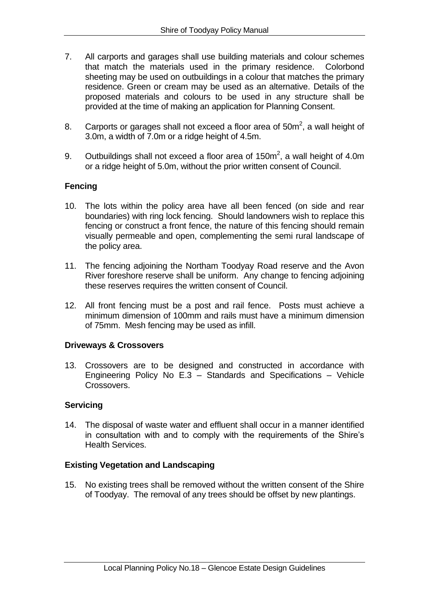- 7. All carports and garages shall use building materials and colour schemes that match the materials used in the primary residence. Colorbond sheeting may be used on outbuildings in a colour that matches the primary residence. Green or cream may be used as an alternative. Details of the proposed materials and colours to be used in any structure shall be provided at the time of making an application for Planning Consent.
- 8. Carports or garages shall not exceed a floor area of  $50m^2$ , a wall height of 3.0m, a width of 7.0m or a ridge height of 4.5m.
- 9. Outbuildings shall not exceed a floor area of 150 $m^2$ , a wall height of 4.0m or a ridge height of 5.0m, without the prior written consent of Council.

## **Fencing**

- 10. The lots within the policy area have all been fenced (on side and rear boundaries) with ring lock fencing. Should landowners wish to replace this fencing or construct a front fence, the nature of this fencing should remain visually permeable and open, complementing the semi rural landscape of the policy area.
- 11. The fencing adjoining the Northam Toodyay Road reserve and the Avon River foreshore reserve shall be uniform. Any change to fencing adjoining these reserves requires the written consent of Council.
- 12. All front fencing must be a post and rail fence. Posts must achieve a minimum dimension of 100mm and rails must have a minimum dimension of 75mm. Mesh fencing may be used as infill.

#### **Driveways & Crossovers**

13. Crossovers are to be designed and constructed in accordance with Engineering Policy No E.3 – Standards and Specifications – Vehicle Crossovers.

#### **Servicing**

14. The disposal of waste water and effluent shall occur in a manner identified in consultation with and to comply with the requirements of the Shire's Health Services.

#### **Existing Vegetation and Landscaping**

15. No existing trees shall be removed without the written consent of the Shire of Toodyay. The removal of any trees should be offset by new plantings.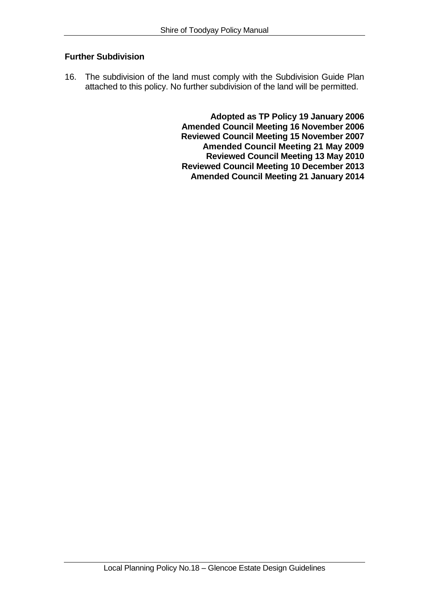## **Further Subdivision**

16. The subdivision of the land must comply with the Subdivision Guide Plan attached to this policy. No further subdivision of the land will be permitted.

> **Adopted as TP Policy 19 January 2006 Amended Council Meeting 16 November 2006 Reviewed Council Meeting 15 November 2007 Amended Council Meeting 21 May 2009 Reviewed Council Meeting 13 May 2010 Reviewed Council Meeting 10 December 2013 Amended Council Meeting 21 January 2014**